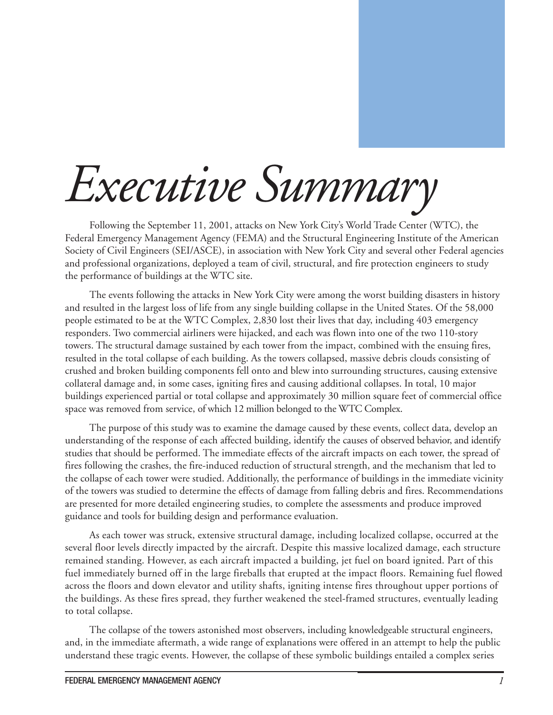## *Executive Summary*

Following the September 11, 2001, attacks on New York City's World Trade Center (WTC), the Federal Emergency Management Agency (FEMA) and the Structural Engineering Institute of the American Society of Civil Engineers (SEI/ASCE), in association with New York City and several other Federal agencies and professional organizations, deployed a team of civil, structural, and fire protection engineers to study the performance of buildings at the WTC site.

The events following the attacks in New York City were among the worst building disasters in history and resulted in the largest loss of life from any single building collapse in the United States. Of the 58,000 people estimated to be at the WTC Complex, 2,830 lost their lives that day, including 403 emergency responders. Two commercial airliners were hijacked, and each was flown into one of the two 110-story towers. The structural damage sustained by each tower from the impact, combined with the ensuing fires, resulted in the total collapse of each building. As the towers collapsed, massive debris clouds consisting of crushed and broken building components fell onto and blew into surrounding structures, causing extensive collateral damage and, in some cases, igniting fires and causing additional collapses. In total, 10 major buildings experienced partial or total collapse and approximately 30 million square feet of commercial office space was removed from service, of which 12 million belonged to the WTC Complex.

The purpose of this study was to examine the damage caused by these events, collect data, develop an understanding of the response of each affected building, identify the causes of observed behavior, and identify studies that should be performed. The immediate effects of the aircraft impacts on each tower, the spread of fires following the crashes, the fire-induced reduction of structural strength, and the mechanism that led to the collapse of each tower were studied. Additionally, the performance of buildings in the immediate vicinity of the towers was studied to determine the effects of damage from falling debris and fires. Recommendations are presented for more detailed engineering studies, to complete the assessments and produce improved guidance and tools for building design and performance evaluation.

As each tower was struck, extensive structural damage, including localized collapse, occurred at the several floor levels directly impacted by the aircraft. Despite this massive localized damage, each structure remained standing. However, as each aircraft impacted a building, jet fuel on board ignited. Part of this fuel immediately burned off in the large fireballs that erupted at the impact floors. Remaining fuel flowed across the floors and down elevator and utility shafts, igniting intense fires throughout upper portions of the buildings. As these fires spread, they further weakened the steel-framed structures, eventually leading to total collapse.

The collapse of the towers astonished most observers, including knowledgeable structural engineers, and, in the immediate aftermath, a wide range of explanations were offered in an attempt to help the public understand these tragic events. However, the collapse of these symbolic buildings entailed a complex series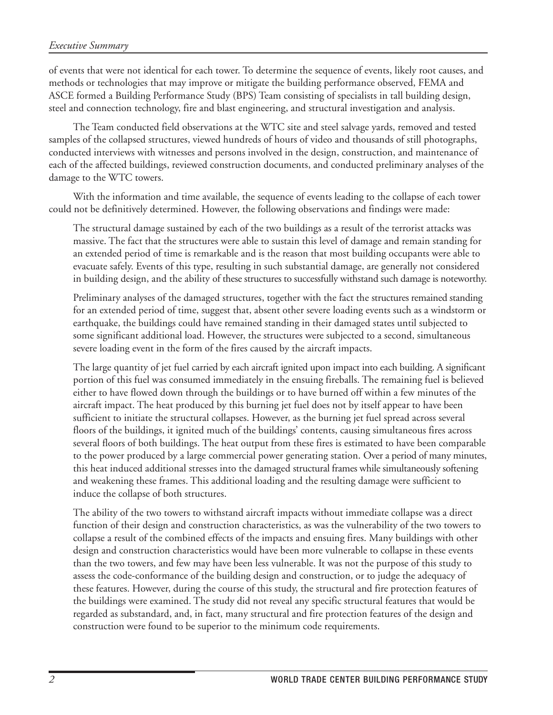of events that were not identical for each tower. To determine the sequence of events, likely root causes, and methods or technologies that may improve or mitigate the building performance observed, FEMA and ASCE formed a Building Performance Study (BPS) Team consisting of specialists in tall building design, steel and connection technology, fire and blast engineering, and structural investigation and analysis.

The Team conducted field observations at the WTC site and steel salvage yards, removed and tested samples of the collapsed structures, viewed hundreds of hours of video and thousands of still photographs, conducted interviews with witnesses and persons involved in the design, construction, and maintenance of each of the affected buildings, reviewed construction documents, and conducted preliminary analyses of the damage to the WTC towers.

With the information and time available, the sequence of events leading to the collapse of each tower could not be definitively determined. However, the following observations and findings were made:

The structural damage sustained by each of the two buildings as a result of the terrorist attacks was massive. The fact that the structures were able to sustain this level of damage and remain standing for an extended period of time is remarkable and is the reason that most building occupants were able to evacuate safely. Events of this type, resulting in such substantial damage, are generally not considered in building design, and the ability of these structures to successfully withstand such damage is noteworthy.

Preliminary analyses of the damaged structures, together with the fact the structures remained standing for an extended period of time, suggest that, absent other severe loading events such as a windstorm or earthquake, the buildings could have remained standing in their damaged states until subjected to some significant additional load. However, the structures were subjected to a second, simultaneous severe loading event in the form of the fires caused by the aircraft impacts.

The large quantity of jet fuel carried by each aircraft ignited upon impact into each building. A significant portion of this fuel was consumed immediately in the ensuing fireballs. The remaining fuel is believed either to have flowed down through the buildings or to have burned off within a few minutes of the aircraft impact. The heat produced by this burning jet fuel does not by itself appear to have been sufficient to initiate the structural collapses. However, as the burning jet fuel spread across several floors of the buildings, it ignited much of the buildings' contents, causing simultaneous fires across several floors of both buildings. The heat output from these fires is estimated to have been comparable to the power produced by a large commercial power generating station. Over a period of many minutes, this heat induced additional stresses into the damaged structural frames while simultaneously softening and weakening these frames. This additional loading and the resulting damage were sufficient to induce the collapse of both structures.

The ability of the two towers to withstand aircraft impacts without immediate collapse was a direct function of their design and construction characteristics, as was the vulnerability of the two towers to collapse a result of the combined effects of the impacts and ensuing fires. Many buildings with other design and construction characteristics would have been more vulnerable to collapse in these events than the two towers, and few may have been less vulnerable. It was not the purpose of this study to assess the code-conformance of the building design and construction, or to judge the adequacy of these features. However, during the course of this study, the structural and fire protection features of the buildings were examined. The study did not reveal any specific structural features that would be regarded as substandard, and, in fact, many structural and fire protection features of the design and construction were found to be superior to the minimum code requirements.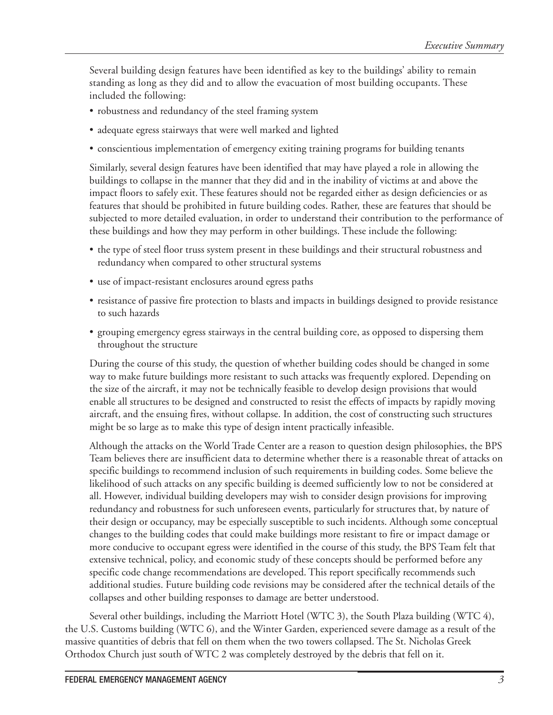Several building design features have been identified as key to the buildings' ability to remain standing as long as they did and to allow the evacuation of most building occupants. These included the following:

- robustness and redundancy of the steel framing system
- adequate egress stairways that were well marked and lighted
- conscientious implementation of emergency exiting training programs for building tenants

Similarly, several design features have been identified that may have played a role in allowing the buildings to collapse in the manner that they did and in the inability of victims at and above the impact floors to safely exit. These features should not be regarded either as design deficiencies or as features that should be prohibited in future building codes. Rather, these are features that should be subjected to more detailed evaluation, in order to understand their contribution to the performance of these buildings and how they may perform in other buildings. These include the following:

- the type of steel floor truss system present in these buildings and their structural robustness and redundancy when compared to other structural systems
- use of impact-resistant enclosures around egress paths
- resistance of passive fire protection to blasts and impacts in buildings designed to provide resistance to such hazards
- grouping emergency egress stairways in the central building core, as opposed to dispersing them throughout the structure

During the course of this study, the question of whether building codes should be changed in some way to make future buildings more resistant to such attacks was frequently explored. Depending on the size of the aircraft, it may not be technically feasible to develop design provisions that would enable all structures to be designed and constructed to resist the effects of impacts by rapidly moving aircraft, and the ensuing fires, without collapse. In addition, the cost of constructing such structures might be so large as to make this type of design intent practically infeasible.

Although the attacks on the World Trade Center are a reason to question design philosophies, the BPS Team believes there are insufficient data to determine whether there is a reasonable threat of attacks on specific buildings to recommend inclusion of such requirements in building codes. Some believe the likelihood of such attacks on any specific building is deemed sufficiently low to not be considered at all. However, individual building developers may wish to consider design provisions for improving redundancy and robustness for such unforeseen events, particularly for structures that, by nature of their design or occupancy, may be especially susceptible to such incidents. Although some conceptual changes to the building codes that could make buildings more resistant to fire or impact damage or more conducive to occupant egress were identified in the course of this study, the BPS Team felt that extensive technical, policy, and economic study of these concepts should be performed before any specific code change recommendations are developed. This report specifically recommends such additional studies. Future building code revisions may be considered after the technical details of the collapses and other building responses to damage are better understood.

Several other buildings, including the Marriott Hotel (WTC 3), the South Plaza building (WTC 4), the U.S. Customs building (WTC 6), and the Winter Garden, experienced severe damage as a result of the massive quantities of debris that fell on them when the two towers collapsed. The St. Nicholas Greek Orthodox Church just south of WTC 2 was completely destroyed by the debris that fell on it.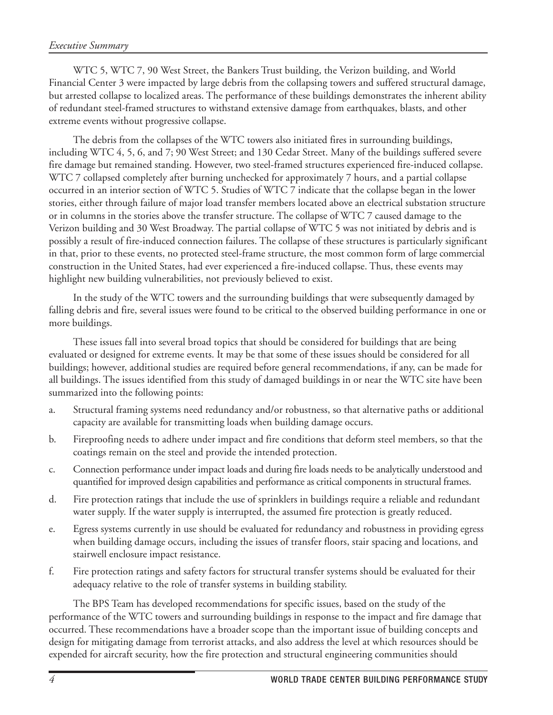## *Executive Summary*

WTC 5, WTC 7, 90 West Street, the Bankers Trust building, the Verizon building, and World Financial Center 3 were impacted by large debris from the collapsing towers and suffered structural damage, but arrested collapse to localized areas. The performance of these buildings demonstrates the inherent ability of redundant steel-framed structures to withstand extensive damage from earthquakes, blasts, and other extreme events without progressive collapse.

The debris from the collapses of the WTC towers also initiated fires in surrounding buildings, including WTC 4, 5, 6, and 7; 90 West Street; and 130 Cedar Street. Many of the buildings suffered severe fire damage but remained standing. However, two steel-framed structures experienced fire-induced collapse. WTC 7 collapsed completely after burning unchecked for approximately 7 hours, and a partial collapse occurred in an interior section of WTC 5. Studies of WTC 7 indicate that the collapse began in the lower stories, either through failure of major load transfer members located above an electrical substation structure or in columns in the stories above the transfer structure. The collapse of WTC 7 caused damage to the Verizon building and 30 West Broadway. The partial collapse of WTC 5 was not initiated by debris and is possibly a result of fire-induced connection failures. The collapse of these structures is particularly significant in that, prior to these events, no protected steel-frame structure, the most common form of large commercial construction in the United States, had ever experienced a fire-induced collapse. Thus, these events may highlight new building vulnerabilities, not previously believed to exist.

In the study of the WTC towers and the surrounding buildings that were subsequently damaged by falling debris and fire, several issues were found to be critical to the observed building performance in one or more buildings.

These issues fall into several broad topics that should be considered for buildings that are being evaluated or designed for extreme events. It may be that some of these issues should be considered for all buildings; however, additional studies are required before general recommendations, if any, can be made for all buildings. The issues identified from this study of damaged buildings in or near the WTC site have been summarized into the following points:

- a. Structural framing systems need redundancy and/or robustness, so that alternative paths or additional capacity are available for transmitting loads when building damage occurs.
- b. Fireproofing needs to adhere under impact and fire conditions that deform steel members, so that the coatings remain on the steel and provide the intended protection.
- c. Connection performance under impact loads and during fire loads needs to be analytically understood and quantified for improved design capabilities and performance as critical components in structural frames.
- d. Fire protection ratings that include the use of sprinklers in buildings require a reliable and redundant water supply. If the water supply is interrupted, the assumed fire protection is greatly reduced.
- e. Egress systems currently in use should be evaluated for redundancy and robustness in providing egress when building damage occurs, including the issues of transfer floors, stair spacing and locations, and stairwell enclosure impact resistance.
- f. Fire protection ratings and safety factors for structural transfer systems should be evaluated for their adequacy relative to the role of transfer systems in building stability.

The BPS Team has developed recommendations for specific issues, based on the study of the performance of the WTC towers and surrounding buildings in response to the impact and fire damage that occurred. These recommendations have a broader scope than the important issue of building concepts and design for mitigating damage from terrorist attacks, and also address the level at which resources should be expended for aircraft security, how the fire protection and structural engineering communities should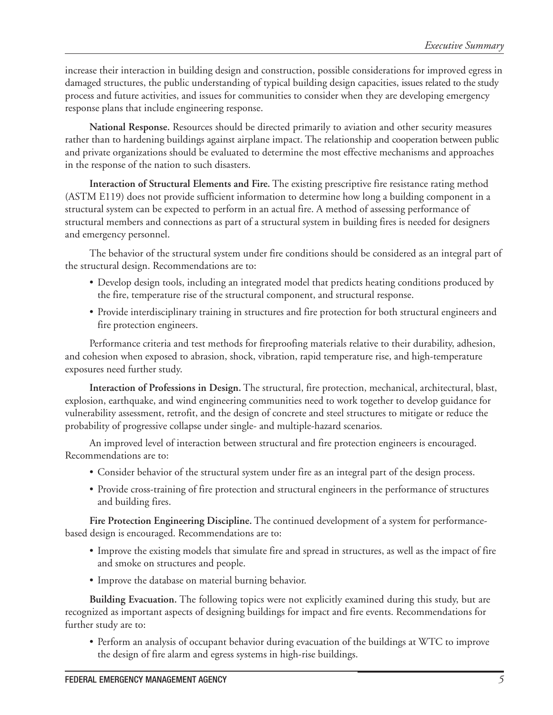increase their interaction in building design and construction, possible considerations for improved egress in damaged structures, the public understanding of typical building design capacities, issues related to the study process and future activities, and issues for communities to consider when they are developing emergency response plans that include engineering response.

**National Response.** Resources should be directed primarily to aviation and other security measures rather than to hardening buildings against airplane impact. The relationship and cooperation between public and private organizations should be evaluated to determine the most effective mechanisms and approaches in the response of the nation to such disasters.

**Interaction of Structural Elements and Fire.** The existing prescriptive fire resistance rating method (ASTM E119) does not provide sufficient information to determine how long a building component in a structural system can be expected to perform in an actual fire. A method of assessing performance of structural members and connections as part of a structural system in building fires is needed for designers and emergency personnel.

The behavior of the structural system under fire conditions should be considered as an integral part of the structural design. Recommendations are to:

- Develop design tools, including an integrated model that predicts heating conditions produced by the fire, temperature rise of the structural component, and structural response.
- Provide interdisciplinary training in structures and fire protection for both structural engineers and fire protection engineers.

Performance criteria and test methods for fireproofing materials relative to their durability, adhesion, and cohesion when exposed to abrasion, shock, vibration, rapid temperature rise, and high-temperature exposures need further study.

**Interaction of Professions in Design.** The structural, fire protection, mechanical, architectural, blast, explosion, earthquake, and wind engineering communities need to work together to develop guidance for vulnerability assessment, retrofit, and the design of concrete and steel structures to mitigate or reduce the probability of progressive collapse under single- and multiple-hazard scenarios.

An improved level of interaction between structural and fire protection engineers is encouraged. Recommendations are to:

- Consider behavior of the structural system under fire as an integral part of the design process.
- Provide cross-training of fire protection and structural engineers in the performance of structures and building fires.

**Fire Protection Engineering Discipline.** The continued development of a system for performancebased design is encouraged. Recommendations are to:

- Improve the existing models that simulate fire and spread in structures, as well as the impact of fire and smoke on structures and people.
- Improve the database on material burning behavior.

**Building Evacuation.** The following topics were not explicitly examined during this study, but are recognized as important aspects of designing buildings for impact and fire events. Recommendations for further study are to:

• Perform an analysis of occupant behavior during evacuation of the buildings at WTC to improve the design of fire alarm and egress systems in high-rise buildings.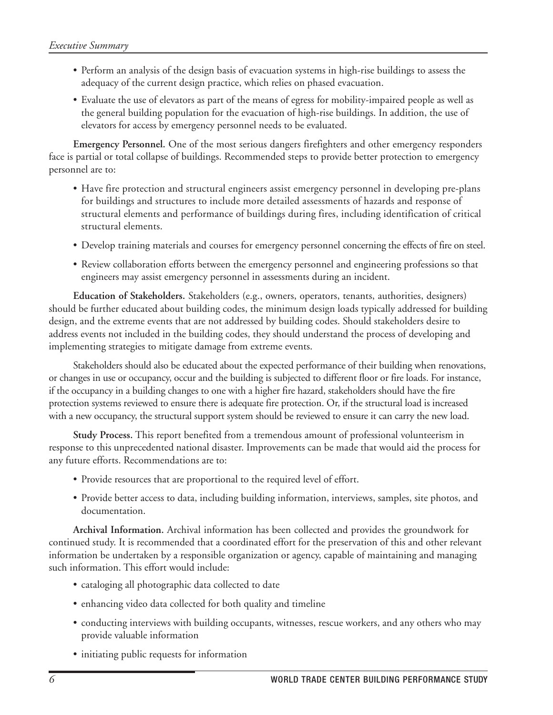- Perform an analysis of the design basis of evacuation systems in high-rise buildings to assess the adequacy of the current design practice, which relies on phased evacuation.
- Evaluate the use of elevators as part of the means of egress for mobility-impaired people as well as the general building population for the evacuation of high-rise buildings. In addition, the use of elevators for access by emergency personnel needs to be evaluated.

**Emergency Personnel.** One of the most serious dangers firefighters and other emergency responders face is partial or total collapse of buildings. Recommended steps to provide better protection to emergency personnel are to:

- Have fire protection and structural engineers assist emergency personnel in developing pre-plans for buildings and structures to include more detailed assessments of hazards and response of structural elements and performance of buildings during fires, including identification of critical structural elements.
- Develop training materials and courses for emergency personnel concerning the effects of fire on steel.
- Review collaboration efforts between the emergency personnel and engineering professions so that engineers may assist emergency personnel in assessments during an incident.

**Education of Stakeholders.** Stakeholders (e.g., owners, operators, tenants, authorities, designers) should be further educated about building codes, the minimum design loads typically addressed for building design, and the extreme events that are not addressed by building codes. Should stakeholders desire to address events not included in the building codes, they should understand the process of developing and implementing strategies to mitigate damage from extreme events.

Stakeholders should also be educated about the expected performance of their building when renovations, or changes in use or occupancy, occur and the building is subjected to different floor or fire loads. For instance, if the occupancy in a building changes to one with a higher fire hazard, stakeholders should have the fire protection systems reviewed to ensure there is adequate fire protection. Or, if the structural load is increased with a new occupancy, the structural support system should be reviewed to ensure it can carry the new load.

**Study Process.** This report benefited from a tremendous amount of professional volunteerism in response to this unprecedented national disaster. Improvements can be made that would aid the process for any future efforts. Recommendations are to:

- Provide resources that are proportional to the required level of effort.
- Provide better access to data, including building information, interviews, samples, site photos, and documentation.

**Archival Information.** Archival information has been collected and provides the groundwork for continued study. It is recommended that a coordinated effort for the preservation of this and other relevant information be undertaken by a responsible organization or agency, capable of maintaining and managing such information. This effort would include:

- cataloging all photographic data collected to date
- enhancing video data collected for both quality and timeline
- conducting interviews with building occupants, witnesses, rescue workers, and any others who may provide valuable information
- initiating public requests for information